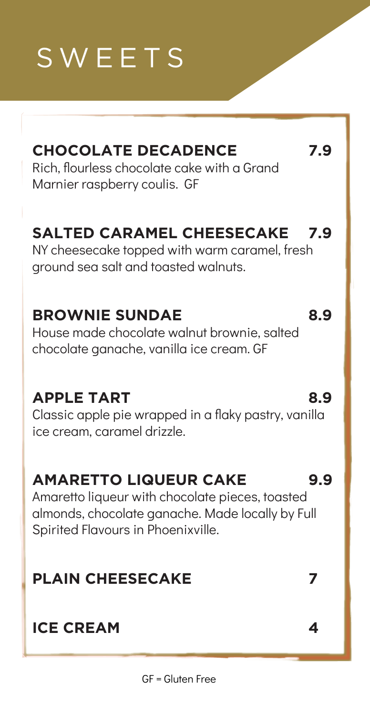## SWEETS

## **CHOCOLATE DECADENCE 7.9**

Rich, flourless chocolate cake with a Grand Marnier raspberry coulis. GF

## **SALTED CARAMEL CHEESECAKE 7.9**

NY cheesecake topped with warm caramel, fresh ground sea salt and toasted walnuts.

#### **BROWNIE SUNDAE 8.9**

House made chocolate walnut brownie, salted chocolate ganache, vanilla ice cream. GF

#### **APPLE TART 8.9**

Classic apple pie wrapped in a flaky pastry, vanilla ice cream, caramel drizzle.

#### **AMARETTO LIQUEUR CAKE 9.9**

Amaretto liqueur with chocolate pieces, toasted almonds, chocolate ganache. Made locally by Full Spirited Flavours in Phoenixville.

#### **PLAIN CHEESECAKE 7**

#### **ICE CREAM 4**